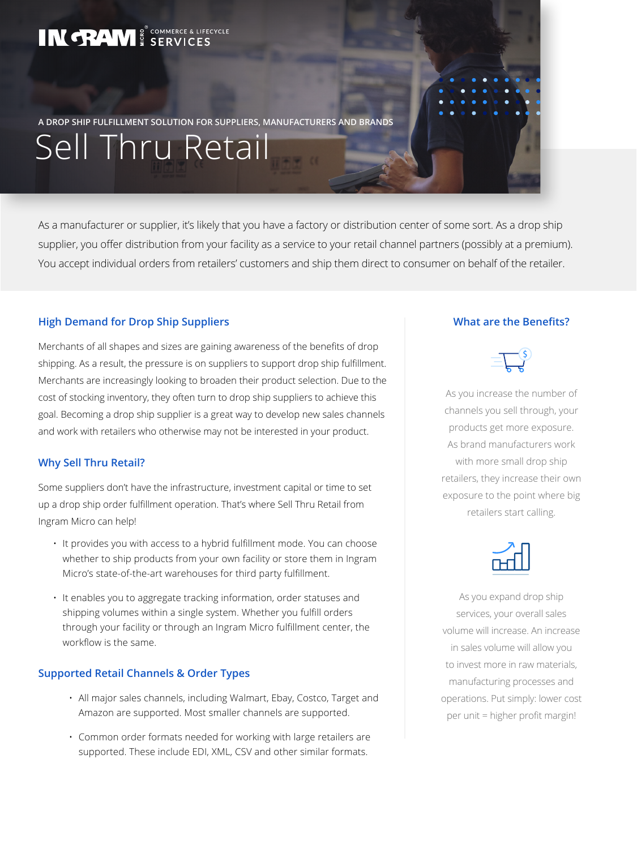# IN **TRAM** & SERVICES

Sell Thru Retail

**A DROP SHIP FULFILLMENT SOLUTION FOR SUPPLIERS, MANUFACTURERS AND BRANDS**

As a manufacturer or supplier, it's likely that you have a factory or distribution center of some sort. As a drop ship supplier, you offer distribution from your facility as a service to your retail channel partners (possibly at a premium). You accept individual orders from retailers' customers and ship them direct to consumer on behalf of the retailer.

# **High Demand for Drop Ship Suppliers**

Merchants of all shapes and sizes are gaining awareness of the benefits of drop shipping. As a result, the pressure is on suppliers to support drop ship fulfillment. Merchants are increasingly looking to broaden their product selection. Due to the cost of stocking inventory, they often turn to drop ship suppliers to achieve this goal. Becoming a drop ship supplier is a great way to develop new sales channels and work with retailers who otherwise may not be interested in your product.

#### **Why Sell Thru Retail?**

Some suppliers don't have the infrastructure, investment capital or time to set up a drop ship order fulfillment operation. That's where Sell Thru Retail from Ingram Micro can help!

- It provides you with access to a hybrid fulfillment mode. You can choose whether to ship products from your own facility or store them in Ingram Micro's state-of-the-art warehouses for third party fulfillment.
- It enables you to aggregate tracking information, order statuses and shipping volumes within a single system. Whether you fulfill orders through your facility or through an Ingram Micro fulfillment center, the workflow is the same.

#### **Supported Retail Channels & Order Types**

- All major sales channels, including Walmart, Ebay, Costco, Target and Amazon are supported. Most smaller channels are supported.
- Common order formats needed for working with large retailers are supported. These include EDI, XML, CSV and other similar formats.

# **What are the Benefits?**

As you increase the number of channels you sell through, your products get more exposure. As brand manufacturers work with more small drop ship retailers, they increase their own exposure to the point where big retailers start calling.



As you expand drop ship services, your overall sales volume will increase. An increase in sales volume will allow you to invest more in raw materials, manufacturing processes and operations. Put simply: lower cost per unit = higher profit margin!